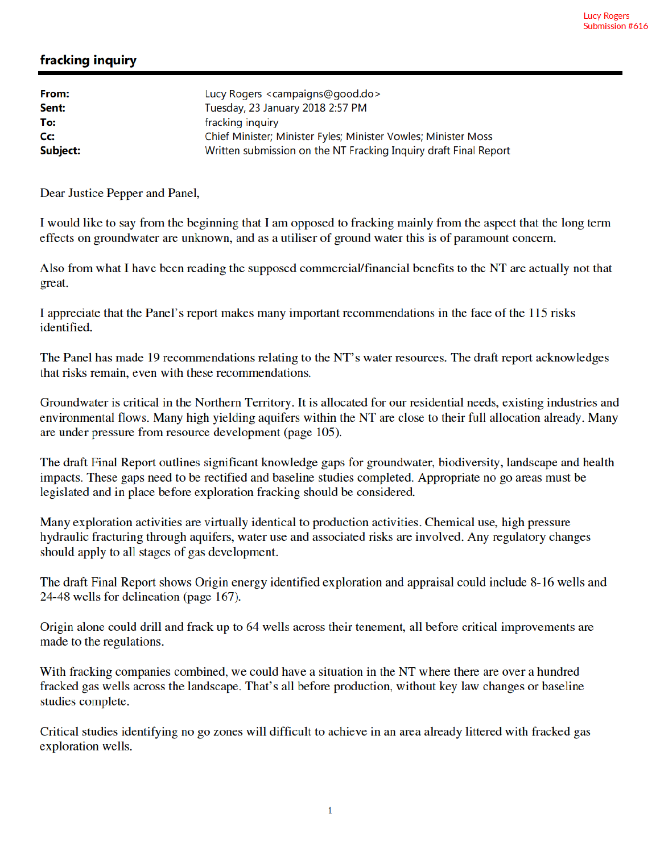## fracking inquiry

| Lucy Rogers <campaigns@good.do></campaigns@good.do>              |
|------------------------------------------------------------------|
| Tuesday, 23 January 2018 2:57 PM                                 |
| fracking inquiry                                                 |
| Chief Minister; Minister Fyles; Minister Vowles; Minister Moss   |
| Written submission on the NT Fracking Inquiry draft Final Report |
|                                                                  |

Dear Justice Pepper and Panel,

I would like to say from the beginning that I am opposed to fracking mainly from the aspect that the long term effects on groundwater are unknown, and as a utiliser of ground water this is of paramount concern.

Also from what I have been reading the supposed commercial/financial benefits to the NT are actually not that great.

I appreciate that the Panel's report makes many important recommendations in the face of the 115 risks identified.

The Panel has made 19 recommendations relating to the NT's water resources. The draft report acknowledges that risks remain, even with these recommendations.

Groundwater is critical in the Northern Territory. It is allocated for our residential needs, existing industries and environmental flows. Many high yielding aquifers within the NT are close to their full allocation already. Many are under pressure from resource development (page 105).

The draft Final Report outlines significant knowledge gaps for groundwater, biodiversity, landscape and health impacts. These gaps need to be rectified and baseline studies completed. Appropriate no go areas must be legislated and in place before exploration fracking should be considered.

Many exploration activities are virtually identical to production activities. Chemical use, high pressure hydraulic fracturing through aquifers, water use and associated risks are involved. Any regulatory changes should apply to all stages of gas development.

The draft Final Report shows Origin energy identified exploration and appraisal could include 8-16 wells and 24-48 wells for delineation (page 167).

Origin alone could drill and frack up to 64 wells across their tenement, all before critical improvements are made to the regulations.

With fracking companies combined, we could have a situation in the NT where there are over a hundred fracked gas wells across the landscape. That's all before production, without key law changes or baseline studies complete.

Critical studies identifying no go zones will difficult to achieve in an area already littered with fracked gas exploration wells.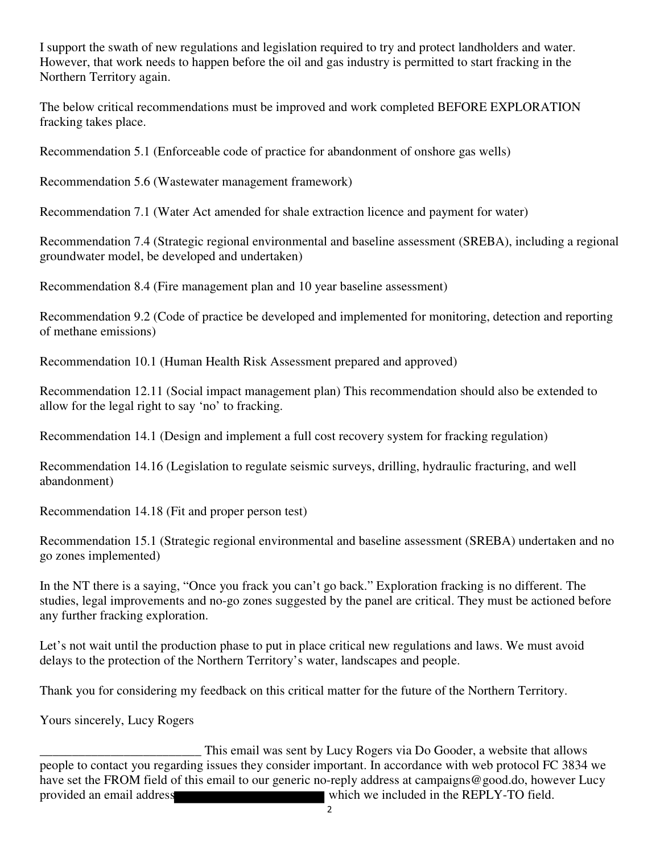I support the swath of new regulations and legislation required to try and protect landholders and water. However, that work needs to happen before the oil and gas industry is permitted to start fracking in the Northern Territory again.

The below critical recommendations must be improved and work completed BEFORE EXPLORATION fracking takes place.

Recommendation 5.1 (Enforceable code of practice for abandonment of onshore gas wells)

Recommendation 5.6 (Wastewater management framework)

Recommendation 7.1 (Water Act amended for shale extraction licence and payment for water)

Recommendation 7.4 (Strategic regional environmental and baseline assessment (SREBA), including a regional groundwater model, be developed and undertaken)

Recommendation 8.4 (Fire management plan and 10 year baseline assessment)

Recommendation 9.2 (Code of practice be developed and implemented for monitoring, detection and reporting of methane emissions)

Recommendation 10.1 (Human Health Risk Assessment prepared and approved)

Recommendation 12.11 (Social impact management plan) This recommendation should also be extended to allow for the legal right to say 'no' to fracking.

Recommendation 14.1 (Design and implement a full cost recovery system for fracking regulation)

Recommendation 14.16 (Legislation to regulate seismic surveys, drilling, hydraulic fracturing, and well abandonment)

Recommendation 14.18 (Fit and proper person test)

Recommendation 15.1 (Strategic regional environmental and baseline assessment (SREBA) undertaken and no go zones implemented)

In the NT there is a saying, "Once you frack you can't go back." Exploration fracking is no different. The studies, legal improvements and no-go zones suggested by the panel are critical. They must be actioned before any further fracking exploration.

Let's not wait until the production phase to put in place critical new regulations and laws. We must avoid delays to the protection of the Northern Territory's water, landscapes and people.

Thank you for considering my feedback on this critical matter for the future of the Northern Territory.

Yours sincerely, Lucy Rogers

This email was sent by Lucy Rogers via Do Gooder, a website that allows<br>people to contact you regarding issues they consider important. In accordance with web protocol FC 3834 we have set the FROM field of this email to our generic no-reply address at campaigns@good.do, however Lucy provided an email address which we included in the REPLY-TO field.